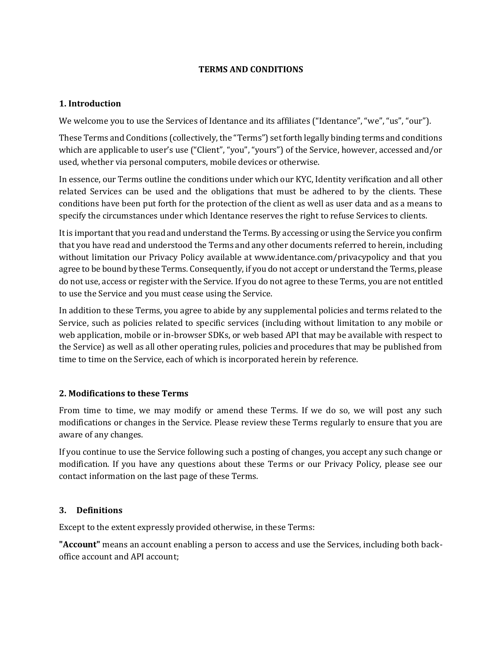#### **TERMS AND CONDITIONS**

### **1. Introduction**

We welcome you to use the Services of Identance and its affiliates ("Identance", "we", "us", "our").

These Terms and Conditions (collectively, the "Terms") set forth legally binding terms and conditions which are applicable to user's use ("Client", "you", "yours") of the Service, however, accessed and/or used, whether via personal computers, mobile devices or otherwise.

In essence, our Terms outline the conditions under which our KYC, Identity verification and all other related Services can be used and the obligations that must be adhered to by the clients. These conditions have been put forth for the protection of the client as well as user data and as a means to specify the circumstances under which Identance reserves the right to refuse Services to clients.

It is important that you read and understand the Terms. By accessing or using the Service you confirm that you have read and understood the Terms and any other documents referred to herein, including without limitation our Privacy Policy available at www.identance.com/privacypolicy and that you agree to be bound by these Terms. Consequently, if you do not accept or understand the Terms, please do not use, access or register with the Service. If you do not agree to these Terms, you are not entitled to use the Service and you must cease using the Service.

In addition to these Terms, you agree to abide by any supplemental policies and terms related to the Service, such as policies related to specific services (including without limitation to any mobile or web application, mobile or in-browser SDKs, or web based API that may be available with respect to the Service) as well as all other operating rules, policies and procedures that may be published from time to time on the Service, each of which is incorporated herein by reference.

#### **2. Modifications to these Terms**

From time to time, we may modify or amend these Terms. If we do so, we will post any such modifications or changes in the Service. Please review these Terms regularly to ensure that you are aware of any changes.

If you continue to use the Service following such a posting of changes, you accept any such change or modification. If you have any questions about these Terms or our Privacy Policy, please see our contact information on the last page of these Terms.

### **3. Definitions**

Except to the extent expressly provided otherwise, in these Terms:

**"Account"** means an account enabling a person to access and use the Services, including both backoffice account and API account;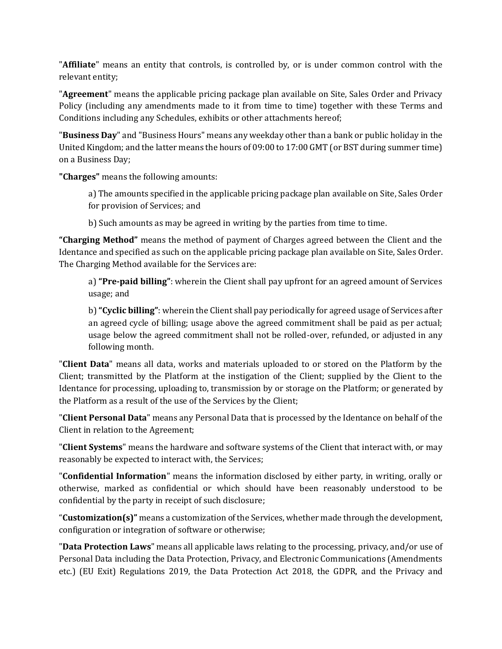"**Affiliate**" means an entity that controls, is controlled by, or is under common control with the relevant entity;

"**Agreement**" means the applicable pricing package plan available on Site, Sales Order and Privacy Policy (including any amendments made to it from time to time) together with these Terms and Conditions including any Schedules, exhibits or other attachments hereof;

"**Business Day**" and "Business Hours" means any weekday other than a bank or public holiday in the United Kingdom; and the latter means the hours of 09:00 to 17:00 GMT (or BST during summer time) on a Business Day;

**"Charges"** means the following amounts:

a) The amounts specified in the applicable pricing package plan available on Site, Sales Order for provision of Services; and

b) Such amounts as may be agreed in writing by the parties from time to time.

**"Charging Method"** means the method of payment of Charges agreed between the Client and the Identance and specified as such on the applicable pricing package plan available on Site, Sales Order. The Charging Method available for the Services are:

a) **"Pre-paid billing"**: wherein the Client shall pay upfront for an agreed amount of Services usage; and

b) **"Cyclic billing"**: wherein the Client shall pay periodically for agreed usage of Services after an agreed cycle of billing; usage above the agreed commitment shall be paid as per actual; usage below the agreed commitment shall not be rolled-over, refunded, or adjusted in any following month.

"**Client Data**" means all data, works and materials uploaded to or stored on the Platform by the Client; transmitted by the Platform at the instigation of the Client; supplied by the Client to the Identance for processing, uploading to, transmission by or storage on the Platform; or generated by the Platform as a result of the use of the Services by the Client;

"**Client Personal Data**" means any Personal Data that is processed by the Identance on behalf of the Client in relation to the Agreement;

"**Client Systems**" means the hardware and software systems of the Client that interact with, or may reasonably be expected to interact with, the Services;

"**Confidential Information**" means the information disclosed by either party, in writing, orally or otherwise, marked as confidential or which should have been reasonably understood to be confidential by the party in receipt of such disclosure;

"**Customization(s)"** means a customization of the Services, whether made through the development, configuration or integration of software or otherwise;

"**Data Protection Laws**" means all applicable laws relating to the processing, privacy, and/or use of Personal Data including the Data Protection, Privacy, and Electronic Communications (Amendments etc.) (EU Exit) Regulations 2019, the Data Protection Act 2018, the GDPR, and the Privacy and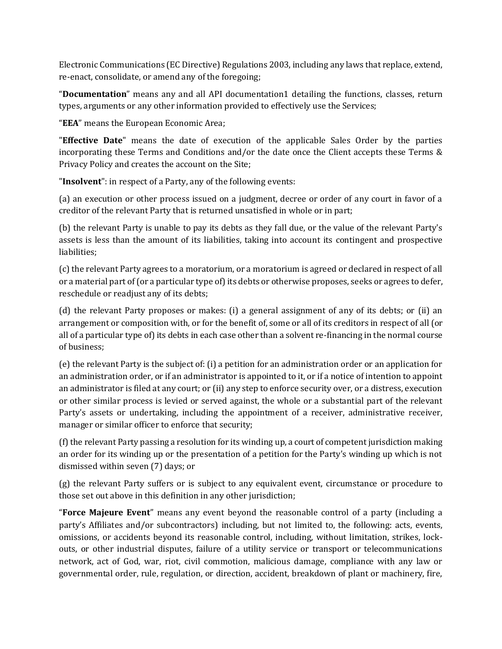Electronic Communications (EC Directive) Regulations 2003, including any laws that replace, extend, re-enact, consolidate, or amend any of the foregoing;

"**Documentation**" means any and all API documentation1 detailing the functions, classes, return types, arguments or any other information provided to effectively use the Services;

"**EEA**" means the European Economic Area;

"**Effective Date**" means the date of execution of the applicable Sales Order by the parties incorporating these Terms and Conditions and/or the date once the Client accepts these Terms & Privacy Policy and creates the account on the Site;

"**Insolvent**": in respect of a Party, any of the following events:

(a) an execution or other process issued on a judgment, decree or order of any court in favor of a creditor of the relevant Party that is returned unsatisfied in whole or in part;

(b) the relevant Party is unable to pay its debts as they fall due, or the value of the relevant Party's assets is less than the amount of its liabilities, taking into account its contingent and prospective liabilities;

(c) the relevant Party agrees to a moratorium, or a moratorium is agreed or declared in respect of all or a material part of (or a particular type of) its debts or otherwise proposes, seeks or agrees to defer, reschedule or readjust any of its debts;

(d) the relevant Party proposes or makes: (i) a general assignment of any of its debts; or (ii) an arrangement or composition with, or for the benefit of, some or all of its creditors in respect of all (or all of a particular type of) its debts in each case other than a solvent re-financing in the normal course of business;

(e) the relevant Party is the subject of: (i) a petition for an administration order or an application for an administration order, or if an administrator is appointed to it, or if a notice of intention to appoint an administrator is filed at any court; or (ii) any step to enforce security over, or a distress, execution or other similar process is levied or served against, the whole or a substantial part of the relevant Party's assets or undertaking, including the appointment of a receiver, administrative receiver, manager or similar officer to enforce that security;

(f) the relevant Party passing a resolution for its winding up, a court of competent jurisdiction making an order for its winding up or the presentation of a petition for the Party's winding up which is not dismissed within seven (7) days; or

(g) the relevant Party suffers or is subject to any equivalent event, circumstance or procedure to those set out above in this definition in any other jurisdiction;

"**Force Majeure Event**" means any event beyond the reasonable control of a party (including a party's Affiliates and/or subcontractors) including, but not limited to, the following: acts, events, omissions, or accidents beyond its reasonable control, including, without limitation, strikes, lockouts, or other industrial disputes, failure of a utility service or transport or telecommunications network, act of God, war, riot, civil commotion, malicious damage, compliance with any law or governmental order, rule, regulation, or direction, accident, breakdown of plant or machinery, fire,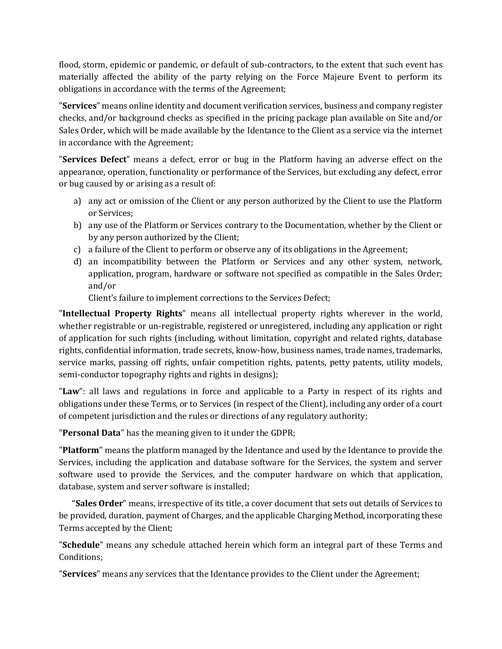flood, storm, epidemic or pandemic, or default of sub-contractors, to the extent that such event has materially affected the ability of the party relying on the Force Majeure Event to perform its obligations in accordance with the terms of the Agreement;

"**Services**" means online identity and document verification services, business and company register checks, and/or background checks as specified in the pricing package plan available on Site and/or Sales Order, which will be made available by the Identance to the Client as a service via the internet in accordance with the Agreement;

"**Services Defect**" means a defect, error or bug in the Platform having an adverse effect on the appearance, operation, functionality or performance of the Services, but excluding any defect, error or bug caused by or arising as a result of:

- a) any act or omission of the Client or any person authorized by the Client to use the Platform or Services;
- b) any use of the Platform or Services contrary to the Documentation, whether by the Client or by any person authorized by the Client;
- c) a failure of the Client to perform or observe any of its obligations in the Agreement;
- d) an incompatibility between the Platform or Services and any other system, network, application, program, hardware or software not specified as compatible in the Sales Order; and/or

Client's failure to implement corrections to the Services Defect;

"**Intellectual Property Rights**" means all intellectual property rights wherever in the world, whether registrable or un-registrable, registered or unregistered, including any application or right of application for such rights (including, without limitation, copyright and related rights, database rights, confidential information, trade secrets, know-how, business names, trade names, trademarks, service marks, passing off rights, unfair competition rights, patents, petty patents, utility models, semi-conductor topography rights and rights in designs);

"**Law**": all laws and regulations in force and applicable to a Party in respect of its rights and obligations under these Terms, or to Services (in respect of the Client), including any order of a court of competent jurisdiction and the rules or directions of any regulatory authority;

"**Personal Data**" has the meaning given to it under the GDPR;

"**Platform**" means the platform managed by the Identance and used by the Identance to provide the Services, including the application and database software for the Services, the system and server software used to provide the Services, and the computer hardware on which that application, database, system and server software is installed;

 "**Sales Order**" means, irrespective of its title, a cover document that sets out details of Services to be provided, duration, payment of Charges, and the applicable Charging Method, incorporating these Terms accepted by the Client;

"**Schedule**" means any schedule attached herein which form an integral part of these Terms and Conditions;

"**Services**" means any services that the Identance provides to the Client under the Agreement;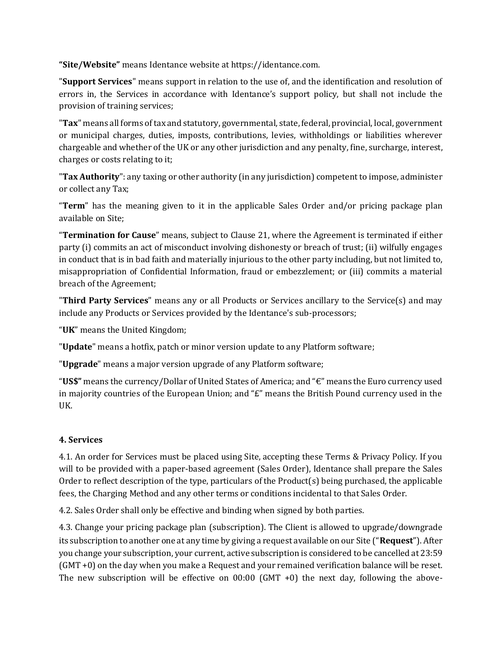**"Site/Website"** means Identance website at https://identance.com.

"**Support Services**" means support in relation to the use of, and the identification and resolution of errors in, the Services in accordance with Identance's support policy, but shall not include the provision of training services;

"**Tax**" means all forms of tax and statutory, governmental, state, federal, provincial, local, government or municipal charges, duties, imposts, contributions, levies, withholdings or liabilities wherever chargeable and whether of the UK or any other jurisdiction and any penalty, fine, surcharge, interest, charges or costs relating to it;

"**Tax Authority**": any taxing or other authority (in any jurisdiction) competent to impose, administer or collect any Tax;

"**Term**" has the meaning given to it in the applicable Sales Order and/or pricing package plan available on Site;

"**Termination for Cause**" means, subject to Clause 21, where the Agreement is terminated if either party (i) commits an act of misconduct involving dishonesty or breach of trust; (ii) wilfully engages in conduct that is in bad faith and materially injurious to the other party including, but not limited to, misappropriation of Confidential Information, fraud or embezzlement; or (iii) commits a material breach of the Agreement;

"**Third Party Services**" means any or all Products or Services ancillary to the Service(s) and may include any Products or Services provided by the Identance's sub-processors;

"**UK**" means the United Kingdom;

"**Update**" means a hotfix, patch or minor version update to any Platform software;

"**Upgrade**" means a major version upgrade of any Platform software;

"**US\$"** means the currency/Dollar of United States of America; and "€" means the Euro currency used in majority countries of the European Union; and " $E$ " means the British Pound currency used in the UK.

## **4. Services**

4.1. An order for Services must be placed using Site, accepting these Terms & Privacy Policy. If you will to be provided with a paper-based agreement (Sales Order), Identance shall prepare the Sales Order to reflect description of the type, particulars of the Product $(s)$  being purchased, the applicable fees, the Charging Method and any other terms or conditions incidental to that Sales Order.

4.2. Sales Order shall only be effective and binding when signed by both parties.

4.3. Change your pricing package plan (subscription). The Client is allowed to upgrade/downgrade its subscription to another one at any time by giving a request available on our Site ("**Request**"). After you change your subscription, your current, active subscription is considered to be cancelled at 23:59 (GMT +0) on the day when you make a Request and your remained verification balance will be reset. The new subscription will be effective on  $00:00$  (GMT +0) the next day, following the above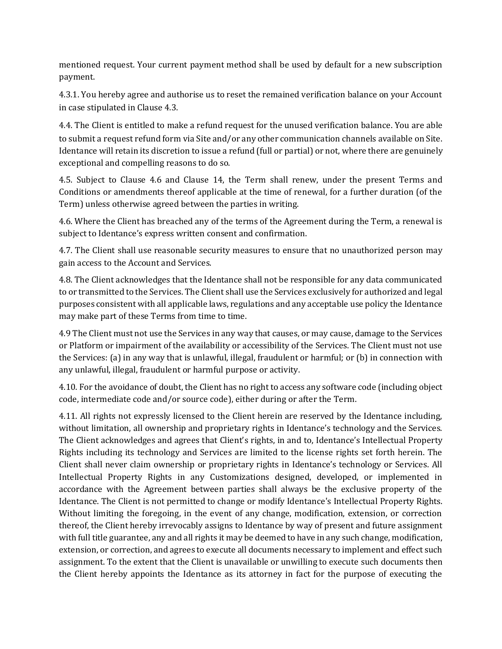mentioned request. Your current payment method shall be used by default for a new subscription payment.

4.3.1. You hereby agree and authorise us to reset the remained verification balance on your Account in case stipulated in Clause 4.3.

4.4. The Client is entitled to make a refund request for the unused verification balance. You are able to submit a request refund form via Site and/or any other communication channels available on Site. Identance will retain its discretion to issue a refund (full or partial) or not, where there are genuinely exceptional and compelling reasons to do so.

4.5. Subject to Clause 4.6 and Clause 14, the Term shall renew, under the present Terms and Conditions or amendments thereof applicable at the time of renewal, for a further duration (of the Term) unless otherwise agreed between the parties in writing.

4.6. Where the Client has breached any of the terms of the Agreement during the Term, a renewal is subject to Identance's express written consent and confirmation.

4.7. The Client shall use reasonable security measures to ensure that no unauthorized person may gain access to the Account and Services.

4.8. The Client acknowledges that the Identance shall not be responsible for any data communicated to or transmitted to the Services. The Client shall use the Services exclusively for authorized and legal purposes consistent with all applicable laws, regulations and any acceptable use policy the Identance may make part of these Terms from time to time.

4.9 The Client must not use the Services in any way that causes, or may cause, damage to the Services or Platform or impairment of the availability or accessibility of the Services. The Client must not use the Services: (a) in any way that is unlawful, illegal, fraudulent or harmful; or (b) in connection with any unlawful, illegal, fraudulent or harmful purpose or activity.

4.10. For the avoidance of doubt, the Client has no right to access any software code (including object code, intermediate code and/or source code), either during or after the Term.

4.11. All rights not expressly licensed to the Client herein are reserved by the Identance including, without limitation, all ownership and proprietary rights in Identance's technology and the Services. The Client acknowledges and agrees that Client's rights, in and to, Identance's Intellectual Property Rights including its technology and Services are limited to the license rights set forth herein. The Client shall never claim ownership or proprietary rights in Identance's technology or Services. All Intellectual Property Rights in any Customizations designed, developed, or implemented in accordance with the Agreement between parties shall always be the exclusive property of the Identance. The Client is not permitted to change or modify Identance's Intellectual Property Rights. Without limiting the foregoing, in the event of any change, modification, extension, or correction thereof, the Client hereby irrevocably assigns to Identance by way of present and future assignment with full title guarantee, any and all rights it may be deemed to have in any such change, modification, extension, or correction, and agrees to execute all documents necessary to implement and effect such assignment. To the extent that the Client is unavailable or unwilling to execute such documents then the Client hereby appoints the Identance as its attorney in fact for the purpose of executing the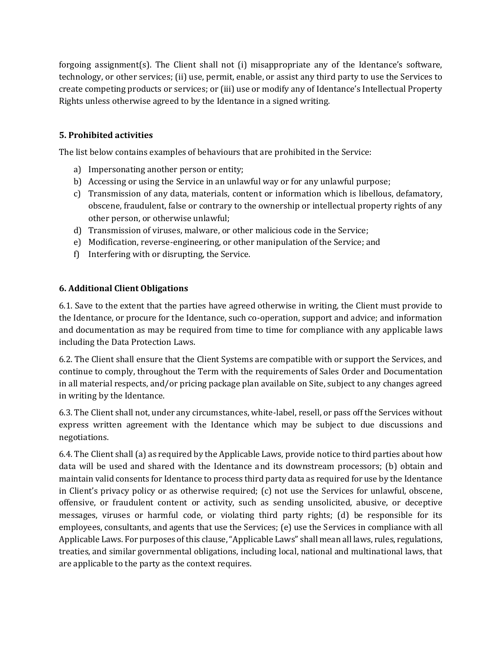forgoing assignment(s). The Client shall not (i) misappropriate any of the Identance's software, technology, or other services; (ii) use, permit, enable, or assist any third party to use the Services to create competing products or services; or (iii) use or modify any of Identance's Intellectual Property Rights unless otherwise agreed to by the Identance in a signed writing.

## **5. Prohibited activities**

The list below contains examples of behaviours that are prohibited in the Service:

- a) Impersonating another person or entity;
- b) Accessing or using the Service in an unlawful way or for any unlawful purpose;
- c) Transmission of any data, materials, content or information which is libellous, defamatory, obscene, fraudulent, false or contrary to the ownership or intellectual property rights of any other person, or otherwise unlawful;
- d) Transmission of viruses, malware, or other malicious code in the Service;
- e) Modification, reverse-engineering, or other manipulation of the Service; and
- f) Interfering with or disrupting, the Service.

## **6. Additional Client Obligations**

6.1. Save to the extent that the parties have agreed otherwise in writing, the Client must provide to the Identance, or procure for the Identance, such co-operation, support and advice; and information and documentation as may be required from time to time for compliance with any applicable laws including the Data Protection Laws.

6.2. The Client shall ensure that the Client Systems are compatible with or support the Services, and continue to comply, throughout the Term with the requirements of Sales Order and Documentation in all material respects, and/or pricing package plan available on Site, subject to any changes agreed in writing by the Identance.

6.3. The Client shall not, under any circumstances, white-label, resell, or pass off the Services without express written agreement with the Identance which may be subject to due discussions and negotiations.

6.4. The Client shall (a) as required by the Applicable Laws, provide notice to third parties about how data will be used and shared with the Identance and its downstream processors; (b) obtain and maintain valid consents for Identance to process third party data as required for use by the Identance in Client's privacy policy or as otherwise required; (c) not use the Services for unlawful, obscene, offensive, or fraudulent content or activity, such as sending unsolicited, abusive, or deceptive messages, viruses or harmful code, or violating third party rights; (d) be responsible for its employees, consultants, and agents that use the Services; (e) use the Services in compliance with all Applicable Laws. For purposes of this clause, "Applicable Laws" shall mean all laws, rules, regulations, treaties, and similar governmental obligations, including local, national and multinational laws, that are applicable to the party as the context requires.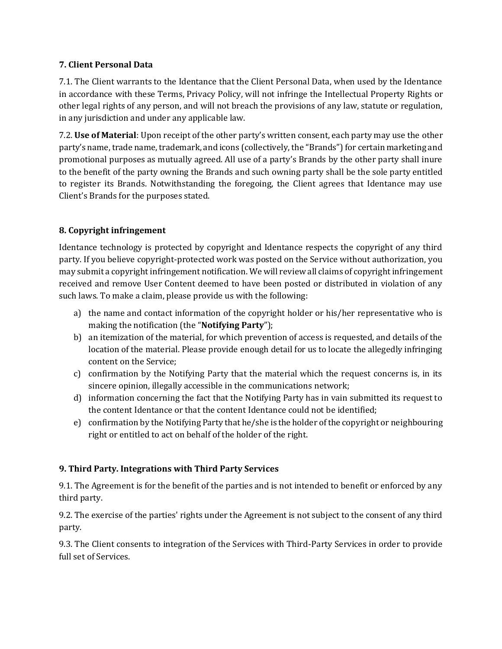## **7. Client Personal Data**

7.1. The Client warrants to the Identance that the Client Personal Data, when used by the Identance in accordance with these Terms, Privacy Policy, will not infringe the Intellectual Property Rights or other legal rights of any person, and will not breach the provisions of any law, statute or regulation, in any jurisdiction and under any applicable law.

7.2. **Use of Material**: Upon receipt of the other party's written consent, each party may use the other party's name, trade name, trademark, and icons (collectively, the "Brands") for certain marketing and promotional purposes as mutually agreed. All use of a party's Brands by the other party shall inure to the benefit of the party owning the Brands and such owning party shall be the sole party entitled to register its Brands. Notwithstanding the foregoing, the Client agrees that Identance may use Client's Brands for the purposes stated.

## **8. Copyright infringement**

Identance technology is protected by copyright and Identance respects the copyright of any third party. If you believe copyright-protected work was posted on the Service without authorization, you may submit a copyright infringement notification. We will review all claims of copyright infringement received and remove User Content deemed to have been posted or distributed in violation of any such laws. To make a claim, please provide us with the following:

- a) the name and contact information of the copyright holder or his/her representative who is making the notification (the "**Notifying Party**");
- b) an itemization of the material, for which prevention of access is requested, and details of the location of the material. Please provide enough detail for us to locate the allegedly infringing content on the Service;
- c) confirmation by the Notifying Party that the material which the request concerns is, in its sincere opinion, illegally accessible in the communications network;
- d) information concerning the fact that the Notifying Party has in vain submitted its request to the content Identance or that the content Identance could not be identified;
- e) confirmation by the Notifying Party that he/she is the holder of the copyright or neighbouring right or entitled to act on behalf of the holder of the right.

# **9. Third Party. Integrations with Third Party Services**

9.1. The Agreement is for the benefit of the parties and is not intended to benefit or enforced by any third party.

9.2. The exercise of the parties' rights under the Agreement is not subject to the consent of any third party.

9.3. The Client consents to integration of the Services with Third-Party Services in order to provide full set of Services.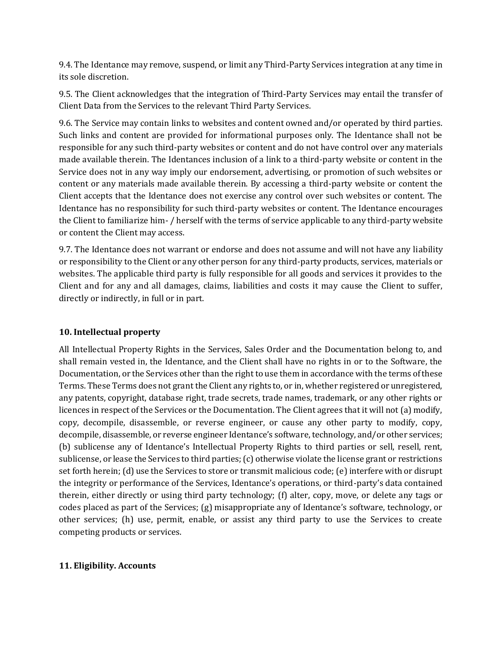9.4. The Identance may remove, suspend, or limit any Third-Party Services integration at any time in its sole discretion.

9.5. The Client acknowledges that the integration of Third-Party Services may entail the transfer of Client Data from the Services to the relevant Third Party Services.

9.6. The Service may contain links to websites and content owned and/or operated by third parties. Such links and content are provided for informational purposes only. The Identance shall not be responsible for any such third-party websites or content and do not have control over any materials made available therein. The Identances inclusion of a link to a third-party website or content in the Service does not in any way imply our endorsement, advertising, or promotion of such websites or content or any materials made available therein. By accessing a third-party website or content the Client accepts that the Identance does not exercise any control over such websites or content. The Identance has no responsibility for such third-party websites or content. The Identance encourages the Client to familiarize him- / herself with the terms of service applicable to any third-party website or content the Client may access.

9.7. The Identance does not warrant or endorse and does not assume and will not have any liability or responsibility to the Client or any other person for any third-party products, services, materials or websites. The applicable third party is fully responsible for all goods and services it provides to the Client and for any and all damages, claims, liabilities and costs it may cause the Client to suffer, directly or indirectly, in full or in part.

### **10. Intellectual property**

All Intellectual Property Rights in the Services, Sales Order and the Documentation belong to, and shall remain vested in, the Identance, and the Client shall have no rights in or to the Software, the Documentation, or the Services other than the right to use them in accordance with the terms of these Terms. These Terms does not grant the Client any rights to, or in, whether registered or unregistered, any patents, copyright, database right, trade secrets, trade names, trademark, or any other rights or licences in respect of the Services or the Documentation. The Client agrees that it will not (a) modify, copy, decompile, disassemble, or reverse engineer, or cause any other party to modify, copy, decompile, disassemble, or reverse engineer Identance's software, technology, and/or other services; (b) sublicense any of Identance's Intellectual Property Rights to third parties or sell, resell, rent, sublicense, or lease the Services to third parties; (c) otherwise violate the license grant or restrictions set forth herein; (d) use the Services to store or transmit malicious code; (e) interfere with or disrupt the integrity or performance of the Services, Identance's operations, or third-party's data contained therein, either directly or using third party technology; (f) alter, copy, move, or delete any tags or codes placed as part of the Services; (g) misappropriate any of Identance's software, technology, or other services; (h) use, permit, enable, or assist any third party to use the Services to create competing products or services.

### **11. Eligibility. Accounts**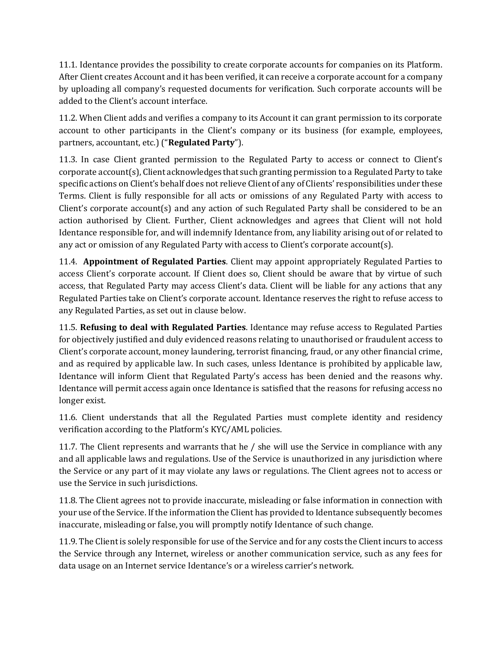11.1. Identance provides the possibility to create corporate accounts for companies on its Platform. After Client creates Account and it has been verified, it can receive a corporate account for a company by uploading all company's requested documents for verification. Such corporate accounts will be added to the Client's account interface.

11.2. When Client adds and verifies a company to its Account it can grant permission to its corporate account to other participants in the Client's company or its business (for example, employees, partners, accountant, etc.) ("**Regulated Party**").

11.3. In case Client granted permission to the Regulated Party to access or connect to Client's corporate account(s), Client acknowledges that such granting permission to a Regulated Party to take specific actions on Client's behalf does not relieve Client of any of Clients' responsibilities under these Terms. Client is fully responsible for all acts or omissions of any Regulated Party with access to Client's corporate account(s) and any action of such Regulated Party shall be considered to be an action authorised by Client. Further, Client acknowledges and agrees that Client will not hold Identance responsible for, and will indemnify Identance from, any liability arising out of or related to any act or omission of any Regulated Party with access to Client's corporate account(s).

11.4. **Appointment of Regulated Parties**. Client may appoint appropriately Regulated Parties to access Client's corporate account. If Client does so, Client should be aware that by virtue of such access, that Regulated Party may access Client's data. Client will be liable for any actions that any Regulated Parties take on Client's corporate account. Identance reserves the right to refuse access to any Regulated Parties, as set out in clause below.

11.5. **Refusing to deal with Regulated Parties**. Identance may refuse access to Regulated Parties for objectively justified and duly evidenced reasons relating to unauthorised or fraudulent access to Client's corporate account, money laundering, terrorist financing, fraud, or any other financial crime, and as required by applicable law. In such cases, unless Identance is prohibited by applicable law, Identance will inform Client that Regulated Party's access has been denied and the reasons why. Identance will permit access again once Identance is satisfied that the reasons for refusing access no longer exist.

11.6. Client understands that all the Regulated Parties must complete identity and residency verification according to the Platform's KYC/AML policies.

11.7. The Client represents and warrants that he / she will use the Service in compliance with any and all applicable laws and regulations. Use of the Service is unauthorized in any jurisdiction where the Service or any part of it may violate any laws or regulations. The Client agrees not to access or use the Service in such jurisdictions.

11.8. The Client agrees not to provide inaccurate, misleading or false information in connection with your use of the Service. If the information the Client has provided to Identance subsequently becomes inaccurate, misleading or false, you will promptly notify Identance of such change.

11.9. The Client is solely responsible for use of the Service and for any costs the Client incurs to access the Service through any Internet, wireless or another communication service, such as any fees for data usage on an Internet service Identance's or a wireless carrier's network.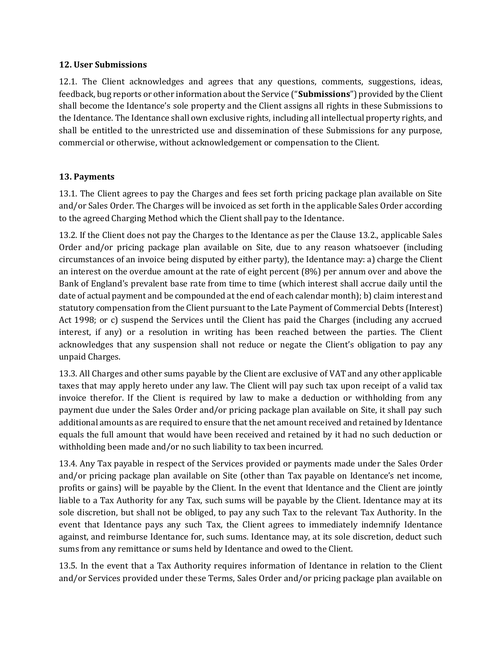#### **12. User Submissions**

12.1. The Client acknowledges and agrees that any questions, comments, suggestions, ideas, feedback, bug reports or other information about the Service ("**Submissions**") provided by the Client shall become the Identance's sole property and the Client assigns all rights in these Submissions to the Identance. The Identance shall own exclusive rights, including all intellectual property rights, and shall be entitled to the unrestricted use and dissemination of these Submissions for any purpose, commercial or otherwise, without acknowledgement or compensation to the Client.

### **13. Payments**

13.1. The Client agrees to pay the Charges and fees set forth pricing package plan available on Site and/or Sales Order. The Charges will be invoiced as set forth in the applicable Sales Order according to the agreed Charging Method which the Client shall pay to the Identance.

13.2. If the Client does not pay the Charges to the Identance as per the Clause 13.2., applicable Sales Order and/or pricing package plan available on Site, due to any reason whatsoever (including circumstances of an invoice being disputed by either party), the Identance may: a) charge the Client an interest on the overdue amount at the rate of eight percent (8%) per annum over and above the Bank of England's prevalent base rate from time to time (which interest shall accrue daily until the date of actual payment and be compounded at the end of each calendar month); b) claim interest and statutory compensation from the Client pursuant to the Late Payment of Commercial Debts (Interest) Act 1998; or c) suspend the Services until the Client has paid the Charges (including any accrued interest, if any) or a resolution in writing has been reached between the parties. The Client acknowledges that any suspension shall not reduce or negate the Client's obligation to pay any unpaid Charges.

13.3. All Charges and other sums payable by the Client are exclusive of VAT and any other applicable taxes that may apply hereto under any law. The Client will pay such tax upon receipt of a valid tax invoice therefor. If the Client is required by law to make a deduction or withholding from any payment due under the Sales Order and/or pricing package plan available on Site, it shall pay such additional amounts as are required to ensure that the net amount received and retained by Identance equals the full amount that would have been received and retained by it had no such deduction or withholding been made and/or no such liability to tax been incurred.

13.4. Any Tax payable in respect of the Services provided or payments made under the Sales Order and/or pricing package plan available on Site (other than Tax payable on Identance's net income, profits or gains) will be payable by the Client. In the event that Identance and the Client are jointly liable to a Tax Authority for any Tax, such sums will be payable by the Client. Identance may at its sole discretion, but shall not be obliged, to pay any such Tax to the relevant Tax Authority. In the event that Identance pays any such Tax, the Client agrees to immediately indemnify Identance against, and reimburse Identance for, such sums. Identance may, at its sole discretion, deduct such sums from any remittance or sums held by Identance and owed to the Client.

13.5. In the event that a Tax Authority requires information of Identance in relation to the Client and/or Services provided under these Terms, Sales Order and/or pricing package plan available on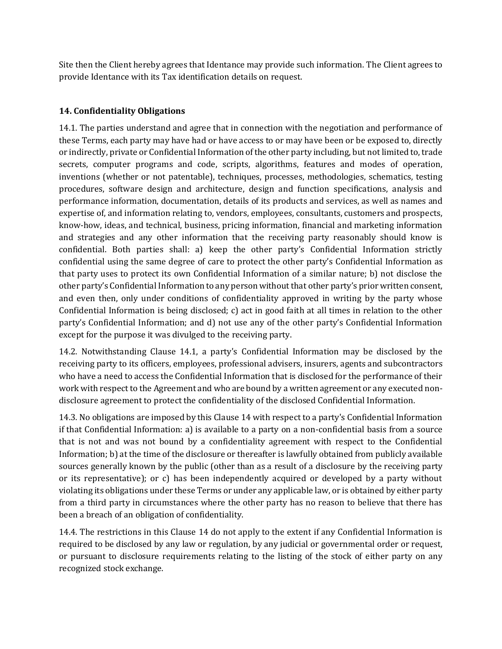Site then the Client hereby agrees that Identance may provide such information. The Client agrees to provide Identance with its Tax identification details on request.

## **14. Confidentiality Obligations**

14.1. The parties understand and agree that in connection with the negotiation and performance of these Terms, each party may have had or have access to or may have been or be exposed to, directly or indirectly, private or Confidential Information of the other party including, but not limited to, trade secrets, computer programs and code, scripts, algorithms, features and modes of operation, inventions (whether or not patentable), techniques, processes, methodologies, schematics, testing procedures, software design and architecture, design and function specifications, analysis and performance information, documentation, details of its products and services, as well as names and expertise of, and information relating to, vendors, employees, consultants, customers and prospects, know-how, ideas, and technical, business, pricing information, financial and marketing information and strategies and any other information that the receiving party reasonably should know is confidential. Both parties shall: a) keep the other party's Confidential Information strictly confidential using the same degree of care to protect the other party's Confidential Information as that party uses to protect its own Confidential Information of a similar nature; b) not disclose the other party's Confidential Information to any person without that other party's prior written consent, and even then, only under conditions of confidentiality approved in writing by the party whose Confidential Information is being disclosed; c) act in good faith at all times in relation to the other party's Confidential Information; and d) not use any of the other party's Confidential Information except for the purpose it was divulged to the receiving party.

14.2. Notwithstanding Clause 14.1, a party's Confidential Information may be disclosed by the receiving party to its officers, employees, professional advisers, insurers, agents and subcontractors who have a need to access the Confidential Information that is disclosed for the performance of their work with respect to the Agreement and who are bound by a written agreement or any executed nondisclosure agreement to protect the confidentiality of the disclosed Confidential Information.

14.3. No obligations are imposed by this Clause 14 with respect to a party's Confidential Information if that Confidential Information: a) is available to a party on a non-confidential basis from a source that is not and was not bound by a confidentiality agreement with respect to the Confidential Information; b) at the time of the disclosure or thereafter is lawfully obtained from publicly available sources generally known by the public (other than as a result of a disclosure by the receiving party or its representative); or c) has been independently acquired or developed by a party without violating its obligations under these Terms or under any applicable law, or is obtained by either party from a third party in circumstances where the other party has no reason to believe that there has been a breach of an obligation of confidentiality.

14.4. The restrictions in this Clause 14 do not apply to the extent if any Confidential Information is required to be disclosed by any law or regulation, by any judicial or governmental order or request, or pursuant to disclosure requirements relating to the listing of the stock of either party on any recognized stock exchange.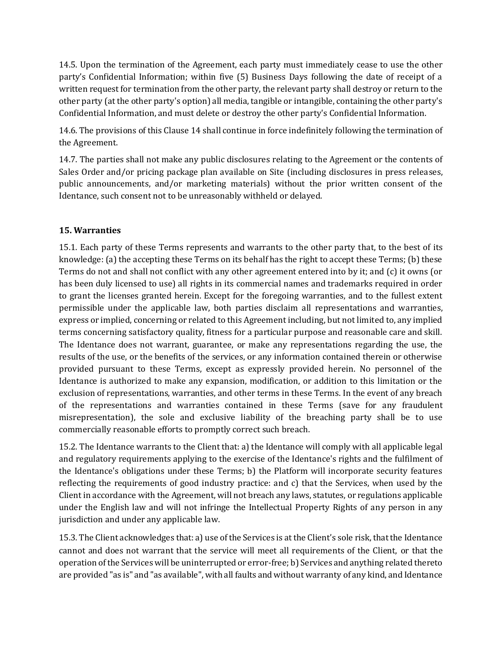14.5. Upon the termination of the Agreement, each party must immediately cease to use the other party's Confidential Information; within five (5) Business Days following the date of receipt of a written request for termination from the other party, the relevant party shall destroy or return to the other party (at the other party's option) all media, tangible or intangible, containing the other party's Confidential Information, and must delete or destroy the other party's Confidential Information.

14.6. The provisions of this Clause 14 shall continue in force indefinitely following the termination of the Agreement.

14.7. The parties shall not make any public disclosures relating to the Agreement or the contents of Sales Order and/or pricing package plan available on Site (including disclosures in press releases, public announcements, and/or marketing materials) without the prior written consent of the Identance, such consent not to be unreasonably withheld or delayed.

## **15. Warranties**

15.1. Each party of these Terms represents and warrants to the other party that, to the best of its knowledge: (a) the accepting these Terms on its behalf has the right to accept these Terms; (b) these Terms do not and shall not conflict with any other agreement entered into by it; and (c) it owns (or has been duly licensed to use) all rights in its commercial names and trademarks required in order to grant the licenses granted herein. Except for the foregoing warranties, and to the fullest extent permissible under the applicable law, both parties disclaim all representations and warranties, express or implied, concerning or related to this Agreement including, but not limited to, any implied terms concerning satisfactory quality, fitness for a particular purpose and reasonable care and skill. The Identance does not warrant, guarantee, or make any representations regarding the use, the results of the use, or the benefits of the services, or any information contained therein or otherwise provided pursuant to these Terms, except as expressly provided herein. No personnel of the Identance is authorized to make any expansion, modification, or addition to this limitation or the exclusion of representations, warranties, and other terms in these Terms. In the event of any breach of the representations and warranties contained in these Terms (save for any fraudulent misrepresentation), the sole and exclusive liability of the breaching party shall be to use commercially reasonable efforts to promptly correct such breach.

15.2. The Identance warrants to the Client that: a) the Identance will comply with all applicable legal and regulatory requirements applying to the exercise of the Identance's rights and the fulfilment of the Identance's obligations under these Terms; b) the Platform will incorporate security features reflecting the requirements of good industry practice: and c) that the Services, when used by the Client in accordance with the Agreement, will not breach any laws, statutes, or regulations applicable under the English law and will not infringe the Intellectual Property Rights of any person in any jurisdiction and under any applicable law.

15.3. The Client acknowledges that: a) use of the Services is at the Client's sole risk, that the Identance cannot and does not warrant that the service will meet all requirements of the Client, or that the operation of the Services will be uninterrupted or error-free; b) Services and anything related thereto are provided "as is" and "as available", with all faults and without warranty of any kind, and Identance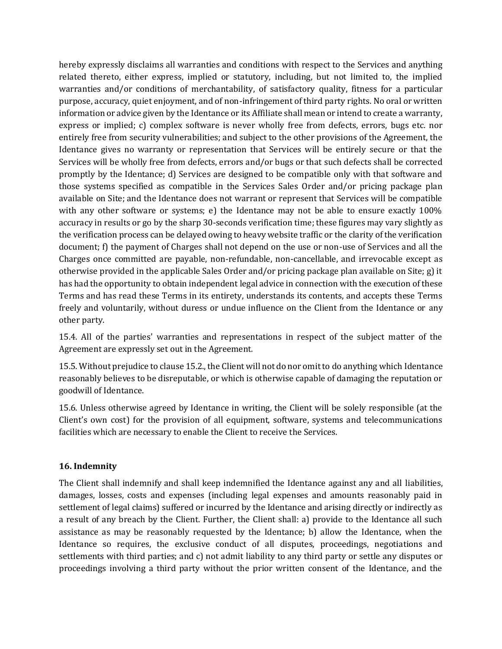hereby expressly disclaims all warranties and conditions with respect to the Services and anything related thereto, either express, implied or statutory, including, but not limited to, the implied warranties and/or conditions of merchantability, of satisfactory quality, fitness for a particular purpose, accuracy, quiet enjoyment, and of non-infringement of third party rights. No oral or written information or advice given by the Identance or its Affiliate shall mean or intend to create a warranty, express or implied; c) complex software is never wholly free from defects, errors, bugs etc. nor entirely free from security vulnerabilities; and subject to the other provisions of the Agreement, the Identance gives no warranty or representation that Services will be entirely secure or that the Services will be wholly free from defects, errors and/or bugs or that such defects shall be corrected promptly by the Identance; d) Services are designed to be compatible only with that software and those systems specified as compatible in the Services Sales Order and/or pricing package plan available on Site; and the Identance does not warrant or represent that Services will be compatible with any other software or systems; e) the Identance may not be able to ensure exactly 100% accuracy in results or go by the sharp 30-seconds verification time; these figures may vary slightly as the verification process can be delayed owing to heavy website traffic or the clarity of the verification document; f) the payment of Charges shall not depend on the use or non-use of Services and all the Charges once committed are payable, non-refundable, non-cancellable, and irrevocable except as otherwise provided in the applicable Sales Order and/or pricing package plan available on Site; g) it has had the opportunity to obtain independent legal advice in connection with the execution of these Terms and has read these Terms in its entirety, understands its contents, and accepts these Terms freely and voluntarily, without duress or undue influence on the Client from the Identance or any other party.

15.4. All of the parties' warranties and representations in respect of the subject matter of the Agreement are expressly set out in the Agreement.

15.5. Without prejudice to clause 15.2., the Client will not do nor omit to do anything which Identance reasonably believes to be disreputable, or which is otherwise capable of damaging the reputation or goodwill of Identance.

15.6. Unless otherwise agreed by Identance in writing, the Client will be solely responsible (at the Client's own cost) for the provision of all equipment, software, systems and telecommunications facilities which are necessary to enable the Client to receive the Services.

### **16. Indemnity**

The Client shall indemnify and shall keep indemnified the Identance against any and all liabilities, damages, losses, costs and expenses (including legal expenses and amounts reasonably paid in settlement of legal claims) suffered or incurred by the Identance and arising directly or indirectly as a result of any breach by the Client. Further, the Client shall: a) provide to the Identance all such assistance as may be reasonably requested by the Identance; b) allow the Identance, when the Identance so requires, the exclusive conduct of all disputes, proceedings, negotiations and settlements with third parties; and c) not admit liability to any third party or settle any disputes or proceedings involving a third party without the prior written consent of the Identance, and the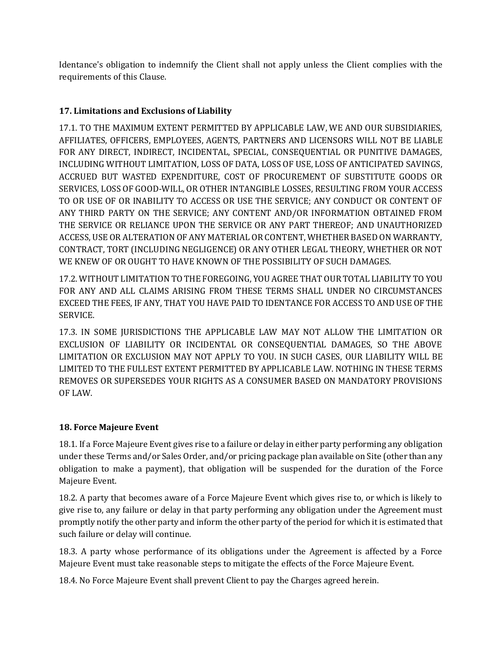Identance's obligation to indemnify the Client shall not apply unless the Client complies with the requirements of this Clause.

## **17. Limitations and Exclusions of Liability**

17.1. TO THE MAXIMUM EXTENT PERMITTED BY APPLICABLE LAW, WE AND OUR SUBSIDIARIES, AFFILIATES, OFFICERS, EMPLOYEES, AGENTS, PARTNERS AND LICENSORS WILL NOT BE LIABLE FOR ANY DIRECT, INDIRECT, INCIDENTAL, SPECIAL, CONSEQUENTIAL OR PUNITIVE DAMAGES, INCLUDING WITHOUT LIMITATION, LOSS OF DATA, LOSS OF USE, LOSS OF ANTICIPATED SAVINGS, ACCRUED BUT WASTED EXPENDITURE, COST OF PROCUREMENT OF SUBSTITUTE GOODS OR SERVICES, LOSS OF GOOD-WILL, OR OTHER INTANGIBLE LOSSES, RESULTING FROM YOUR ACCESS TO OR USE OF OR INABILITY TO ACCESS OR USE THE SERVICE; ANY CONDUCT OR CONTENT OF ANY THIRD PARTY ON THE SERVICE; ANY CONTENT AND/OR INFORMATION OBTAINED FROM THE SERVICE OR RELIANCE UPON THE SERVICE OR ANY PART THEREOF; AND UNAUTHORIZED ACCESS, USE OR ALTERATION OF ANY MATERIAL OR CONTENT, WHETHER BASED ON WARRANTY, CONTRACT, TORT (INCLUDING NEGLIGENCE) OR ANY OTHER LEGAL THEORY, WHETHER OR NOT WE KNEW OF OR OUGHT TO HAVE KNOWN OF THE POSSIBILITY OF SUCH DAMAGES.

17.2. WITHOUT LIMITATION TO THE FOREGOING, YOU AGREE THAT OUR TOTAL LIABILITY TO YOU FOR ANY AND ALL CLAIMS ARISING FROM THESE TERMS SHALL UNDER NO CIRCUMSTANCES EXCEED THE FEES, IF ANY, THAT YOU HAVE PAID TO IDENTANCE FOR ACCESS TO AND USE OF THE SERVICE.

17.3. IN SOME JURISDICTIONS THE APPLICABLE LAW MAY NOT ALLOW THE LIMITATION OR EXCLUSION OF LIABILITY OR INCIDENTAL OR CONSEQUENTIAL DAMAGES, SO THE ABOVE LIMITATION OR EXCLUSION MAY NOT APPLY TO YOU. IN SUCH CASES, OUR LIABILITY WILL BE LIMITED TO THE FULLEST EXTENT PERMITTED BY APPLICABLE LAW. NOTHING IN THESE TERMS REMOVES OR SUPERSEDES YOUR RIGHTS AS A CONSUMER BASED ON MANDATORY PROVISIONS OF LAW.

## **18. Force Majeure Event**

18.1. If a Force Majeure Event gives rise to a failure or delay in either party performing any obligation under these Terms and/or Sales Order, and/or pricing package plan available on Site (other than any obligation to make a payment), that obligation will be suspended for the duration of the Force Majeure Event.

18.2. A party that becomes aware of a Force Majeure Event which gives rise to, or which is likely to give rise to, any failure or delay in that party performing any obligation under the Agreement must promptly notify the other party and inform the other party of the period for which it is estimated that such failure or delay will continue.

18.3. A party whose performance of its obligations under the Agreement is affected by a Force Majeure Event must take reasonable steps to mitigate the effects of the Force Majeure Event.

18.4. No Force Majeure Event shall prevent Client to pay the Charges agreed herein.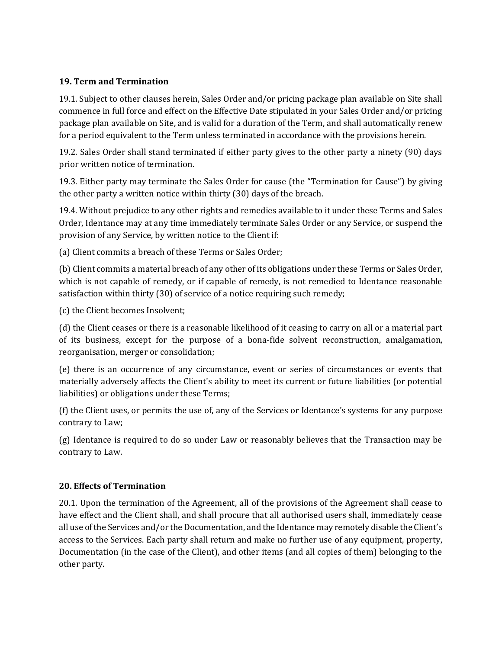## **19. Term and Termination**

19.1. Subject to other clauses herein, Sales Order and/or pricing package plan available on Site shall commence in full force and effect on the Effective Date stipulated in your Sales Order and/or pricing package plan available on Site, and is valid for a duration of the Term, and shall automatically renew for a period equivalent to the Term unless terminated in accordance with the provisions herein.

19.2. Sales Order shall stand terminated if either party gives to the other party a ninety (90) days prior written notice of termination.

19.3. Either party may terminate the Sales Order for cause (the "Termination for Cause") by giving the other party a written notice within thirty (30) days of the breach.

19.4. Without prejudice to any other rights and remedies available to it under these Terms and Sales Order, Identance may at any time immediately terminate Sales Order or any Service, or suspend the provision of any Service, by written notice to the Client if:

(a) Client commits a breach of these Terms or Sales Order;

(b) Client commits a material breach of any other of its obligations under these Terms or Sales Order, which is not capable of remedy, or if capable of remedy, is not remedied to Identance reasonable satisfaction within thirty (30) of service of a notice requiring such remedy;

(c) the Client becomes Insolvent;

(d) the Client ceases or there is a reasonable likelihood of it ceasing to carry on all or a material part of its business, except for the purpose of a bona-fide solvent reconstruction, amalgamation, reorganisation, merger or consolidation;

(e) there is an occurrence of any circumstance, event or series of circumstances or events that materially adversely affects the Client's ability to meet its current or future liabilities (or potential liabilities) or obligations under these Terms;

(f) the Client uses, or permits the use of, any of the Services or Identance's systems for any purpose contrary to Law;

(g) Identance is required to do so under Law or reasonably believes that the Transaction may be contrary to Law.

### **20. Effects of Termination**

20.1. Upon the termination of the Agreement, all of the provisions of the Agreement shall cease to have effect and the Client shall, and shall procure that all authorised users shall, immediately cease all use of the Services and/or the Documentation, and the Identance may remotely disable the Client's access to the Services. Each party shall return and make no further use of any equipment, property, Documentation (in the case of the Client), and other items (and all copies of them) belonging to the other party.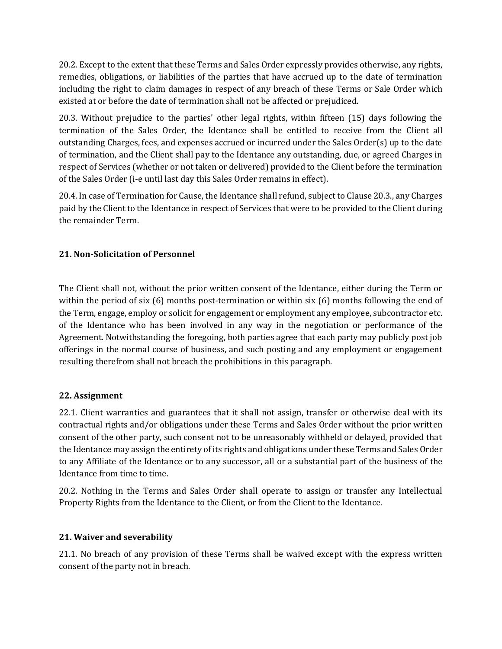20.2. Except to the extent that these Terms and Sales Order expressly provides otherwise, any rights, remedies, obligations, or liabilities of the parties that have accrued up to the date of termination including the right to claim damages in respect of any breach of these Terms or Sale Order which existed at or before the date of termination shall not be affected or prejudiced.

20.3. Without prejudice to the parties' other legal rights, within fifteen (15) days following the termination of the Sales Order, the Identance shall be entitled to receive from the Client all outstanding Charges, fees, and expenses accrued or incurred under the Sales Order(s) up to the date of termination, and the Client shall pay to the Identance any outstanding, due, or agreed Charges in respect of Services (whether or not taken or delivered) provided to the Client before the termination of the Sales Order (i-e until last day this Sales Order remains in effect).

20.4. In case of Termination for Cause, the Identance shall refund, subject to Clause 20.3., any Charges paid by the Client to the Identance in respect of Services that were to be provided to the Client during the remainder Term.

## **21. Non-Solicitation of Personnel**

The Client shall not, without the prior written consent of the Identance, either during the Term or within the period of six (6) months post-termination or within six (6) months following the end of the Term, engage, employ or solicit for engagement or employment any employee, subcontractor etc. of the Identance who has been involved in any way in the negotiation or performance of the Agreement. Notwithstanding the foregoing, both parties agree that each party may publicly post job offerings in the normal course of business, and such posting and any employment or engagement resulting therefrom shall not breach the prohibitions in this paragraph.

## **22. Assignment**

22.1. Client warranties and guarantees that it shall not assign, transfer or otherwise deal with its contractual rights and/or obligations under these Terms and Sales Order without the prior written consent of the other party, such consent not to be unreasonably withheld or delayed, provided that the Identance may assign the entirety of its rights and obligations under these Terms and Sales Order to any Affiliate of the Identance or to any successor, all or a substantial part of the business of the Identance from time to time.

20.2. Nothing in the Terms and Sales Order shall operate to assign or transfer any Intellectual Property Rights from the Identance to the Client, or from the Client to the Identance.

## **21. Waiver and severability**

21.1. No breach of any provision of these Terms shall be waived except with the express written consent of the party not in breach.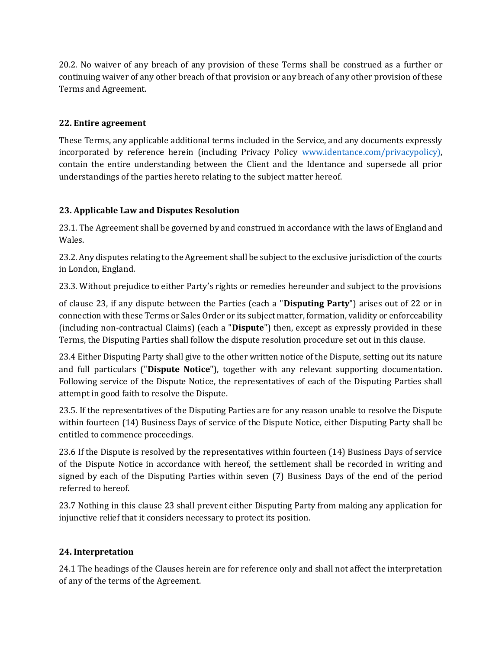20.2. No waiver of any breach of any provision of these Terms shall be construed as a further or continuing waiver of any other breach of that provision or any breach of any other provision of these Terms and Agreement.

## **22. Entire agreement**

These Terms, any applicable additional terms included in the Service, and any documents expressly incorporated by reference herein (including Privacy Policy [www.identance.com/privacypolicy\),](http://www.identance.com/privacypolicy)) contain the entire understanding between the Client and the Identance and supersede all prior understandings of the parties hereto relating to the subject matter hereof.

## **23. Applicable Law and Disputes Resolution**

23.1. The Agreement shall be governed by and construed in accordance with the laws of England and Wales.

23.2. Any disputes relating to the Agreement shall be subject to the exclusive jurisdiction of the courts in London, England.

23.3. Without prejudice to either Party's rights or remedies hereunder and subject to the provisions

of clause 23, if any dispute between the Parties (each a "**Disputing Party**") arises out of 22 or in connection with these Terms or Sales Order or its subject matter, formation, validity or enforceability (including non-contractual Claims) (each a "**Dispute**") then, except as expressly provided in these Terms, the Disputing Parties shall follow the dispute resolution procedure set out in this clause.

23.4 Either Disputing Party shall give to the other written notice of the Dispute, setting out its nature and full particulars ("**Dispute Notice**"), together with any relevant supporting documentation. Following service of the Dispute Notice, the representatives of each of the Disputing Parties shall attempt in good faith to resolve the Dispute.

23.5. If the representatives of the Disputing Parties are for any reason unable to resolve the Dispute within fourteen (14) Business Days of service of the Dispute Notice, either Disputing Party shall be entitled to commence proceedings.

23.6 If the Dispute is resolved by the representatives within fourteen (14) Business Days of service of the Dispute Notice in accordance with hereof, the settlement shall be recorded in writing and signed by each of the Disputing Parties within seven (7) Business Days of the end of the period referred to hereof.

23.7 Nothing in this clause 23 shall prevent either Disputing Party from making any application for injunctive relief that it considers necessary to protect its position.

## **24. Interpretation**

24.1 The headings of the Clauses herein are for reference only and shall not affect the interpretation of any of the terms of the Agreement.